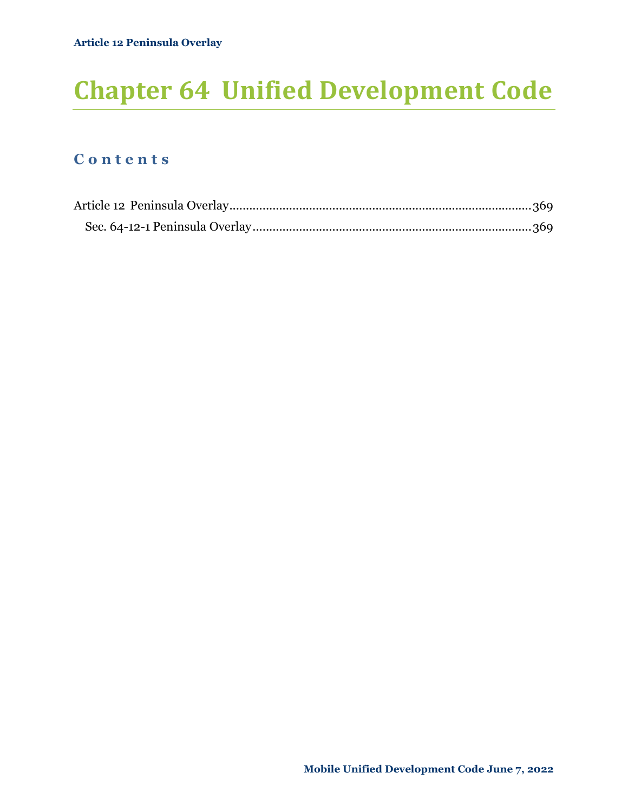# **Chapter 64 Unified Development Code**

# **C o n t e n t s**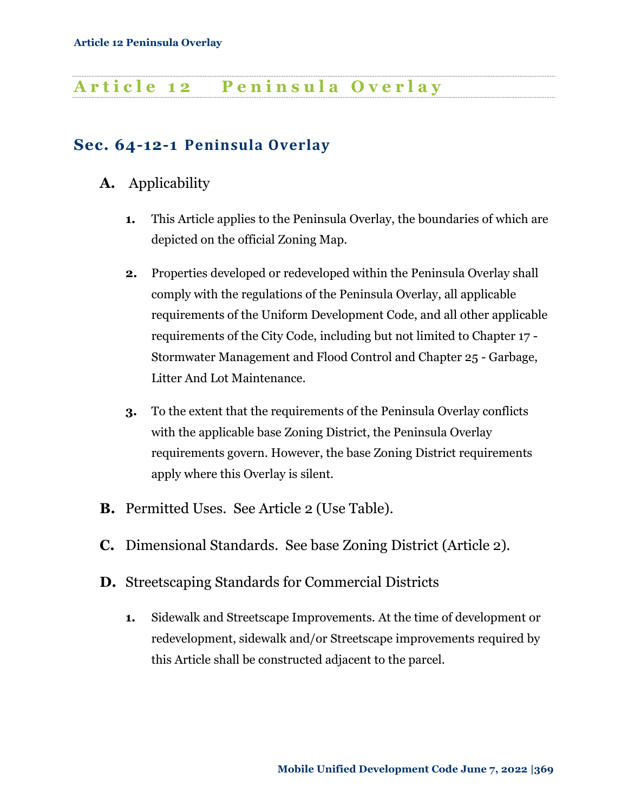# <span id="page-1-0"></span>**A r t i c l e 1 2 P e n i n s u l a O v e r l a y**

# <span id="page-1-1"></span>**Sec. 64-12-1 Peninsula Overlay**

- **A.** Applicability
	- **1.** This Article applies to the Peninsula Overlay, the boundaries of which are depicted on the official Zoning Map.
	- **2.** Properties developed or redeveloped within the Peninsula Overlay shall comply with the regulations of the Peninsula Overlay, all applicable requirements of the Uniform Development Code, and all other applicable requirements of the City Code, including but not limited to Chapter 17 - Stormwater Management and Flood Control and Chapter 25 - Garbage, Litter And Lot Maintenance.
	- **3.** To the extent that the requirements of the Peninsula Overlay conflicts with the applicable base Zoning District, the Peninsula Overlay requirements govern. However, the base Zoning District requirements apply where this Overlay is silent.
- **B.** Permitted Uses. See Article 2 (Use Table).
- **C.** Dimensional Standards. See base Zoning District (Article 2).
- **D.** Streetscaping Standards for Commercial Districts
	- **1.** Sidewalk and Streetscape Improvements. At the time of development or redevelopment, sidewalk and/or Streetscape improvements required by this Article shall be constructed adjacent to the parcel.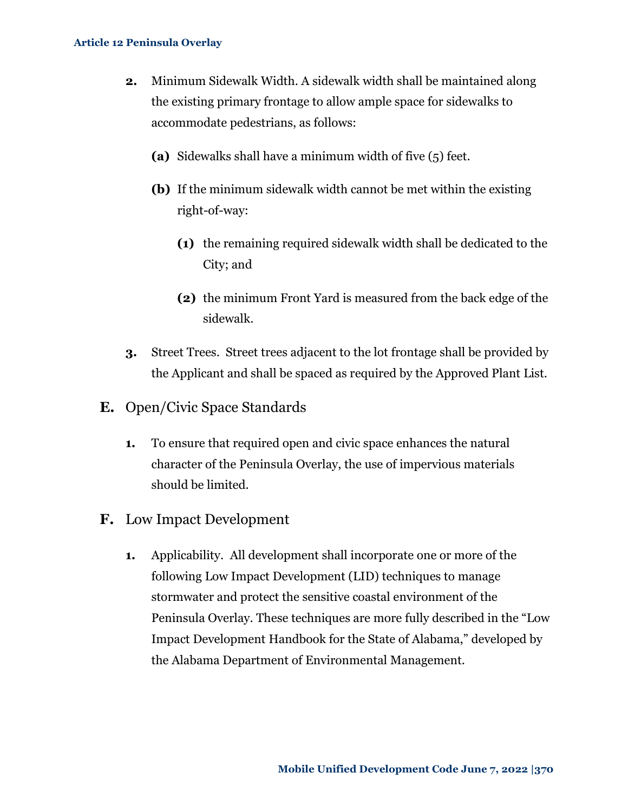- **2.** Minimum Sidewalk Width. A sidewalk width shall be maintained along the existing primary frontage to allow ample space for sidewalks to accommodate pedestrians, as follows:
	- **(a)** Sidewalks shall have a minimum width of five (5) feet.
	- **(b)** If the minimum sidewalk width cannot be met within the existing right-of-way:
		- **(1)** the remaining required sidewalk width shall be dedicated to the City; and
		- **(2)** the minimum Front Yard is measured from the back edge of the sidewalk.
- **3.** Street Trees. Street trees adjacent to the lot frontage shall be provided by the Applicant and shall be spaced as required by the Approved Plant List.
- **E.** Open/Civic Space Standards
	- **1.** To ensure that required open and civic space enhances the natural character of the Peninsula Overlay, the use of impervious materials should be limited.
- **F.** Low Impact Development
	- **1.** Applicability.All development shall incorporate one or more of the following Low Impact Development (LID) techniques to manage stormwater and protect the sensitive coastal environment of the Peninsula Overlay. These techniques are more fully described in the "Low Impact Development Handbook for the State of Alabama," developed by the Alabama Department of Environmental Management.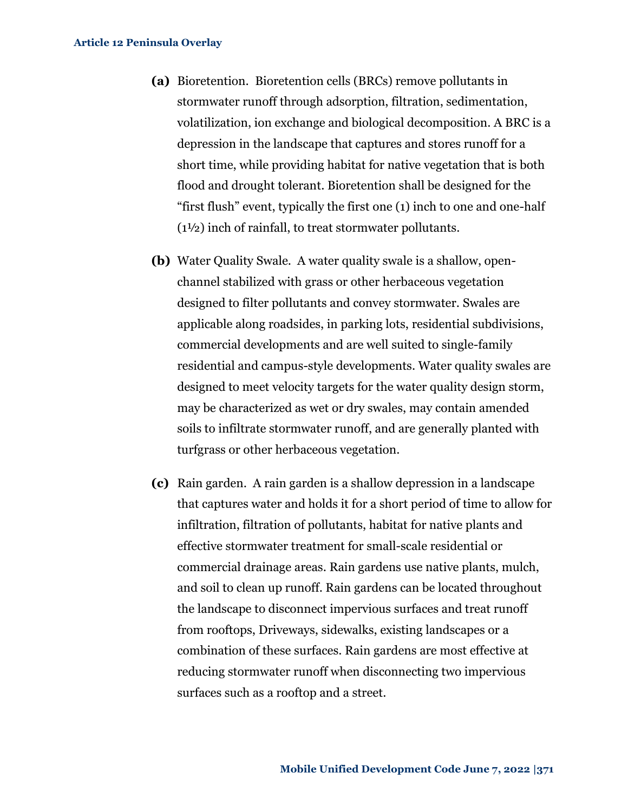- **(a)** Bioretention.Bioretention cells (BRCs) remove pollutants in stormwater runoff through adsorption, filtration, sedimentation, volatilization, ion exchange and biological decomposition. A BRC is a depression in the landscape that captures and stores runoff for a short time, while providing habitat for native vegetation that is both flood and drought tolerant. Bioretention shall be designed for the "first flush" event, typically the first one (1) inch to one and one-half (1½) inch of rainfall, to treat stormwater pollutants.
- **(b)** Water Quality Swale. A water quality swale is a shallow, openchannel stabilized with grass or other herbaceous vegetation designed to filter pollutants and convey stormwater. Swales are applicable along roadsides, in parking lots, residential subdivisions, commercial developments and are well suited to single-family residential and campus-style developments. Water quality swales are designed to meet velocity targets for the water quality design storm, may be characterized as wet or dry swales, may contain amended soils to infiltrate stormwater runoff, and are generally planted with turfgrass or other herbaceous vegetation.
- **(c)** Rain garden. A rain garden is a shallow depression in a landscape that captures water and holds it for a short period of time to allow for infiltration, filtration of pollutants, habitat for native plants and effective stormwater treatment for small-scale residential or commercial drainage areas. Rain gardens use native plants, mulch, and soil to clean up runoff. Rain gardens can be located throughout the landscape to disconnect impervious surfaces and treat runoff from rooftops, Driveways, sidewalks, existing landscapes or a combination of these surfaces. Rain gardens are most effective at reducing stormwater runoff when disconnecting two impervious surfaces such as a rooftop and a street.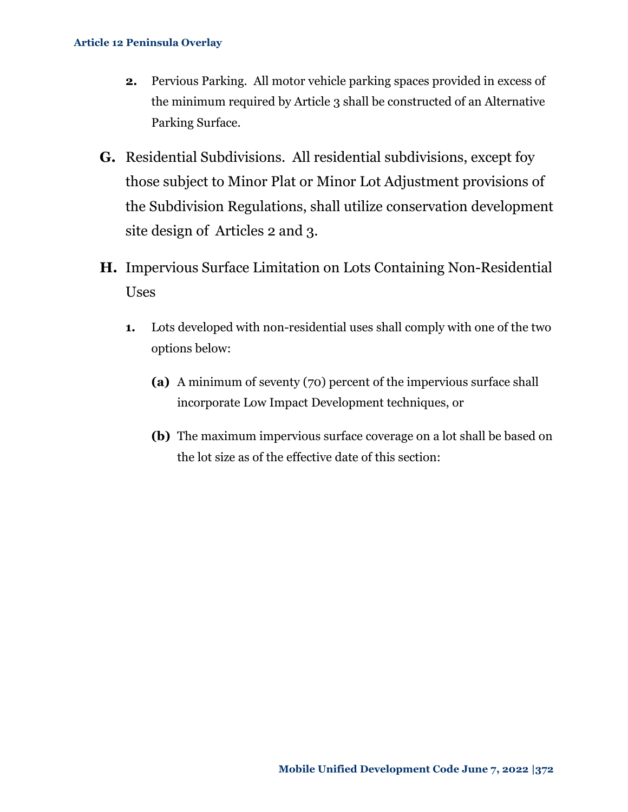- **2.** Pervious Parking.All motor vehicle parking spaces provided in excess of the minimum required by Article 3 shall be constructed of an Alternative Parking Surface.
- **G.** Residential Subdivisions. All residential subdivisions, except foy those subject to Minor Plat or Minor Lot Adjustment provisions of the Subdivision Regulations, shall utilize conservation development site design of Articles 2 and 3.
- **H.** Impervious Surface Limitation on Lots Containing Non-Residential Uses
	- **1.** Lots developed with non-residential uses shall comply with one of the two options below:
		- **(a)** A minimum of seventy (70) percent of the impervious surface shall incorporate Low Impact Development techniques, or
		- **(b)** The maximum impervious surface coverage on a lot shall be based on the lot size as of the effective date of this section: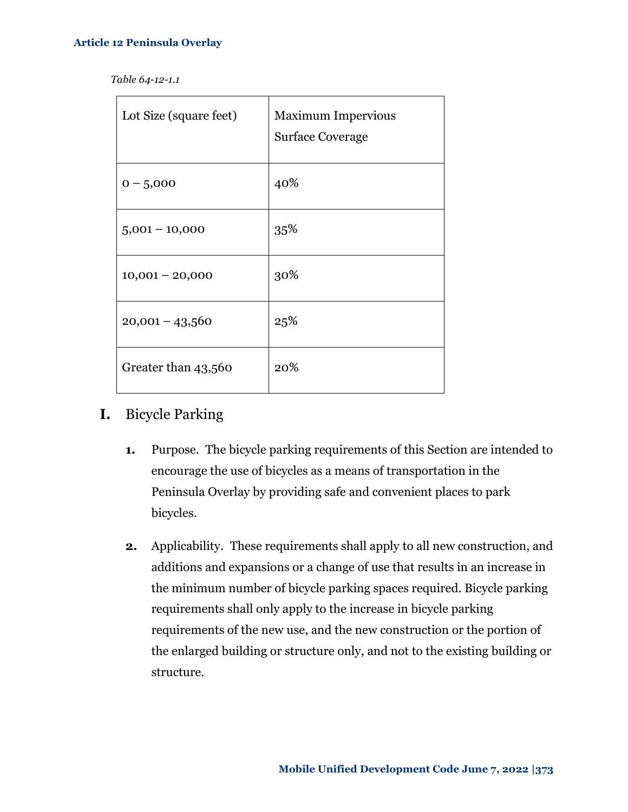| Lot Size (square feet) | <b>Maximum Impervious</b><br><b>Surface Coverage</b> |
|------------------------|------------------------------------------------------|
| $0 - 5,000$            | 40%                                                  |
| $5,001 - 10,000$       | 35%                                                  |
| $10,001 - 20,000$      | 30%                                                  |
| $20,001 - 43,560$      | 25%                                                  |
| Greater than 43,560    | 20%                                                  |

# **I.** Bicycle Parking

- **1.** Purpose.The bicycle parking requirements of this Section are intended to encourage the use of bicycles as a means of transportation in the Peninsula Overlay by providing safe and convenient places to park bicycles.
- **2.** Applicability.These requirements shall apply to all new construction, and additions and expansions or a change of use that results in an increase in the minimum number of bicycle parking spaces required. Bicycle parking requirements shall only apply to the increase in bicycle parking requirements of the new use, and the new construction or the portion of the enlarged building or structure only, and not to the existing building or structure.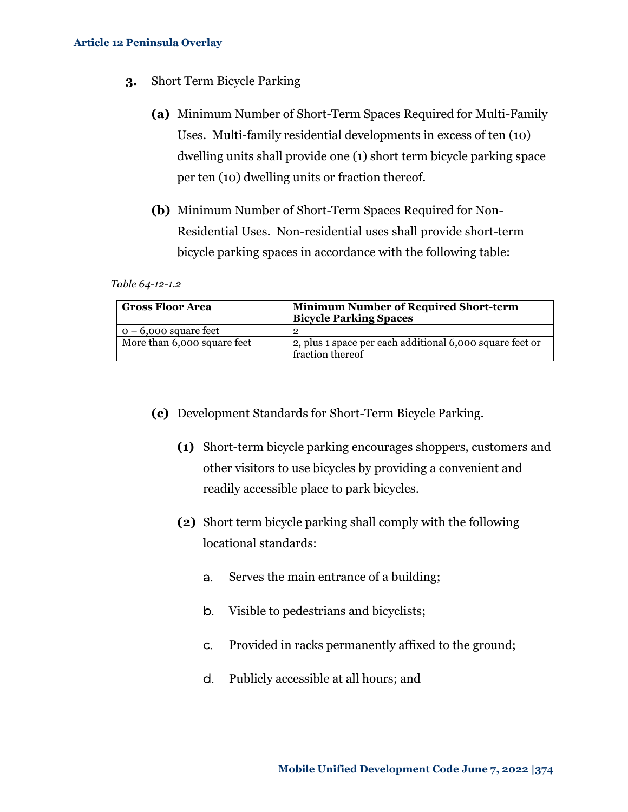- **3.** Short Term Bicycle Parking
	- **(a)** Minimum Number of Short-Term Spaces Required for Multi-Family Uses. Multi-family residential developments in excess of ten (10) dwelling units shall provide one (1) short term bicycle parking space per ten (10) dwelling units or fraction thereof.
	- **(b)** Minimum Number of Short-Term Spaces Required for Non-Residential Uses. Non-residential uses shall provide short-term bicycle parking spaces in accordance with the following table:

*Table 64-12-1.2*

| <b>Gross Floor Area</b>     | <b>Minimum Number of Required Short-term</b><br><b>Bicycle Parking Spaces</b> |
|-----------------------------|-------------------------------------------------------------------------------|
| $0 - 6,000$ square feet     |                                                                               |
| More than 6,000 square feet | 2, plus 1 space per each additional 6,000 square feet or<br>fraction thereof  |

- **(c)** Development Standards for Short-Term Bicycle Parking.
	- **(1)** Short-term bicycle parking encourages shoppers, customers and other visitors to use bicycles by providing a convenient and readily accessible place to park bicycles.
	- **(2)** Short term bicycle parking shall comply with the following locational standards:
		- a. Serves the main entrance of a building;
		- b. Visible to pedestrians and bicyclists;
		- c. Provided in racks permanently affixed to the ground;
		- d. Publicly accessible at all hours; and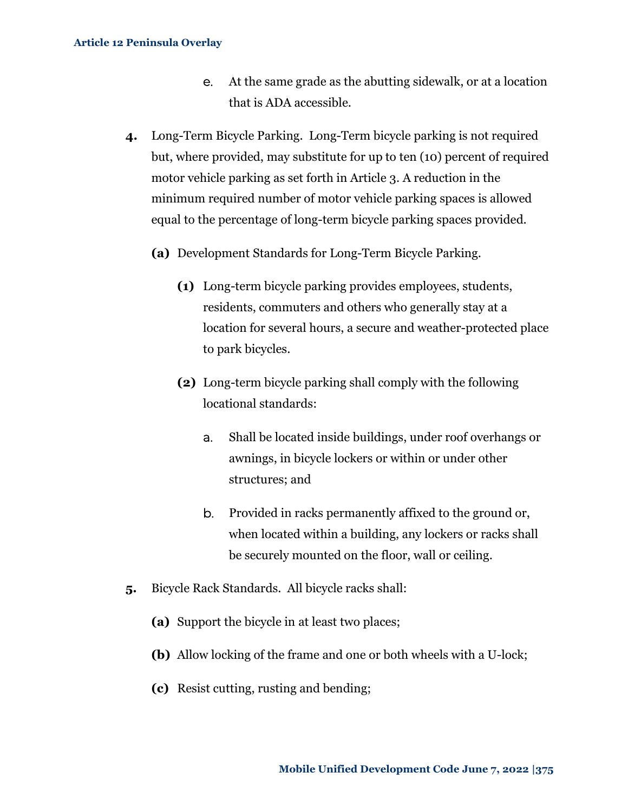- e. At the same grade as the abutting sidewalk, or at a location that is ADA accessible.
- **4.** Long-Term Bicycle Parking. Long-Term bicycle parking is not required but, where provided, may substitute for up to ten (10) percent of required motor vehicle parking as set forth in Article 3. A reduction in the minimum required number of motor vehicle parking spaces is allowed equal to the percentage of long-term bicycle parking spaces provided.
	- **(a)** Development Standards for Long-Term Bicycle Parking.
		- **(1)** Long-term bicycle parking provides employees, students, residents, commuters and others who generally stay at a location for several hours, a secure and weather-protected place to park bicycles.
		- **(2)** Long-term bicycle parking shall comply with the following locational standards:
			- a. Shall be located inside buildings, under roof overhangs or awnings, in bicycle lockers or within or under other structures; and
			- b. Provided in racks permanently affixed to the ground or, when located within a building, any lockers or racks shall be securely mounted on the floor, wall or ceiling.
- **5.** Bicycle Rack Standards. All bicycle racks shall:
	- **(a)** Support the bicycle in at least two places;
	- **(b)** Allow locking of the frame and one or both wheels with a U-lock;
	- **(c)** Resist cutting, rusting and bending;